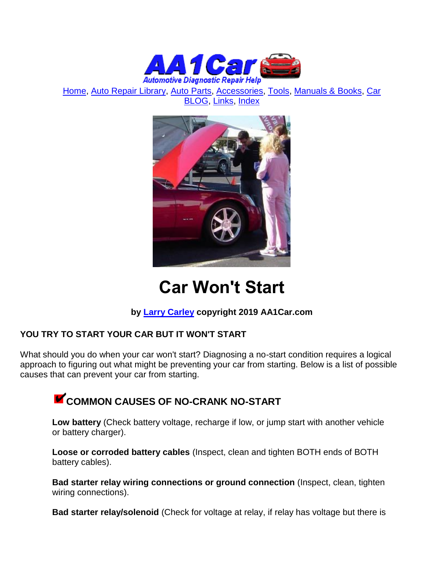

[Home,](http://www.aa1car.com/) [Auto Repair Library,](http://www.aa1car.com/library.htm) [Auto Parts,](http://www.aa1car.com/links_parts.htm) [Accessories,](http://www.aa1car.com/links_accessories.htm) [Tools,](http://www.aa1car.com/links_tools.htm) [Manuals & Books,](http://www.aa1car.com/links_books.htm) [Car](http://www.aa1car.com/blog/blog.htm)  [BLOG,](http://www.aa1car.com/blog/blog.htm) [Links,](http://www.aa1car.com/links.htm) [Index](http://www.aa1car.com/index_alphabetical.htm)



# **Car Won't Start**

### **by [Larry Carley](https://www.aa1car.com/larrypage/larrycarley_photos.htm) copyright 2019 AA1Car.com**

### **YOU TRY TO START YOUR CAR BUT IT WON'T START**

What should you do when your car won't start? Diagnosing a no-start condition requires a logical approach to figuring out what might be preventing your car from starting. Below is a list of possible causes that can prevent your car from starting.

# **COMMON CAUSES OF NO-CRANK NO-START**

**Low battery** (Check battery voltage, recharge if low, or jump start with another vehicle or battery charger).

**Loose or corroded battery cables** (Inspect, clean and tighten BOTH ends of BOTH battery cables).

**Bad starter relay wiring connections or ground connection** (Inspect, clean, tighten wiring connections).

**Bad starter relay/solenoid** (Check for voltage at relay, if relay has voltage but there is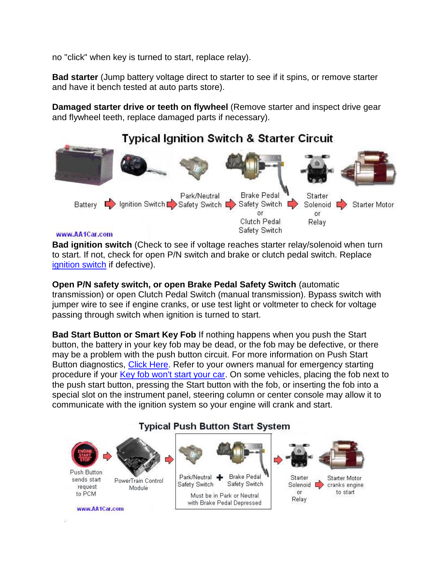no "click" when key is turned to start, replace relay).

**Bad starter** (Jump battery voltage direct to starter to see if it spins, or remove starter and have it bench tested at auto parts store).

**Damaged starter drive or teeth on flywheel** (Remove starter and inspect drive gear and flywheel teeth, replace damaged parts if necessary).

### **Typical Ignition Switch & Starter Circuit**



### www.AA1Car.com

**Bad ignition switch** (Check to see if voltage reaches starter relay/solenoid when turn to start. If not, check for open P/N switch and brake or clutch pedal switch. Replace [ignition switch](http://www.aa1car.com/library/ignition_switch.htm) if defective).

**Open P/N safety switch, or open Brake Pedal Safety Switch** (automatic transmission) or open Clutch Pedal Switch (manual transmission). Bypass switch with jumper wire to see if engine cranks, or use test light or voltmeter to check for voltage passing through switch when ignition is turned to start.

**Bad Start Button or Smart Key Fob** If nothing happens when you push the Start button, the battery in your key fob may be dead, or the fob may be defective, or there may be a problem with the push button circuit. For more information on Push Start Button diagnostics, [Click Here.](http://www.aa1car.com/library/push_button_start_system.htm) Refer to your owners manual for emergency starting procedure if your [Key fob won't start your car.](http://www.aa1car.com/library/keyfob_wont_start_car.htm) On some vehicles, placing the fob next to the push start button, pressing the Start button with the fob, or inserting the fob into a special slot on the instrument panel, steering column or center console may allow it to communicate with the ignition system so your engine will crank and start.

#### Push Button Park/Neutral + **Brake Pedal** Starter Starter Motor sends start PowerTrain Control Safety Switch Safety Switch Solenoid  $\Box$ cranks engine request Module to start or to PCM Must be in Park or Neutral Relay with Brake Pedal Depressed www.AA1Car.com

### **Typical Push Button Start System**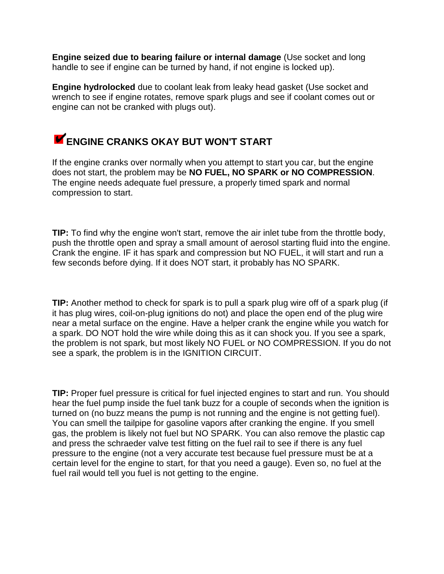**Engine seized due to bearing failure or internal damage** (Use socket and long handle to see if engine can be turned by hand, if not engine is locked up).

**Engine hydrolocked** due to coolant leak from leaky head gasket (Use socket and wrench to see if engine rotates, remove spark plugs and see if coolant comes out or engine can not be cranked with plugs out).

### **ENGINE CRANKS OKAY BUT WON'T START**

If the engine cranks over normally when you attempt to start you car, but the engine does not start, the problem may be **NO FUEL, NO SPARK or NO COMPRESSION**. The engine needs adequate fuel pressure, a properly timed spark and normal compression to start.

**TIP:** To find why the engine won't start, remove the air inlet tube from the throttle body, push the throttle open and spray a small amount of aerosol starting fluid into the engine. Crank the engine. IF it has spark and compression but NO FUEL, it will start and run a few seconds before dying. If it does NOT start, it probably has NO SPARK.

**TIP:** Another method to check for spark is to pull a spark plug wire off of a spark plug (if it has plug wires, coil-on-plug ignitions do not) and place the open end of the plug wire near a metal surface on the engine. Have a helper crank the engine while you watch for a spark. DO NOT hold the wire while doing this as it can shock you. If you see a spark, the problem is not spark, but most likely NO FUEL or NO COMPRESSION. If you do not see a spark, the problem is in the IGNITION CIRCUIT.

**TIP:** Proper fuel pressure is critical for fuel injected engines to start and run. You should hear the fuel pump inside the fuel tank buzz for a couple of seconds when the ignition is turned on (no buzz means the pump is not running and the engine is not getting fuel). You can smell the tailpipe for gasoline vapors after cranking the engine. If you smell gas, the problem is likely not fuel but NO SPARK. You can also remove the plastic cap and press the schraeder valve test fitting on the fuel rail to see if there is any fuel pressure to the engine (not a very accurate test because fuel pressure must be at a certain level for the engine to start, for that you need a gauge). Even so, no fuel at the fuel rail would tell you fuel is not getting to the engine.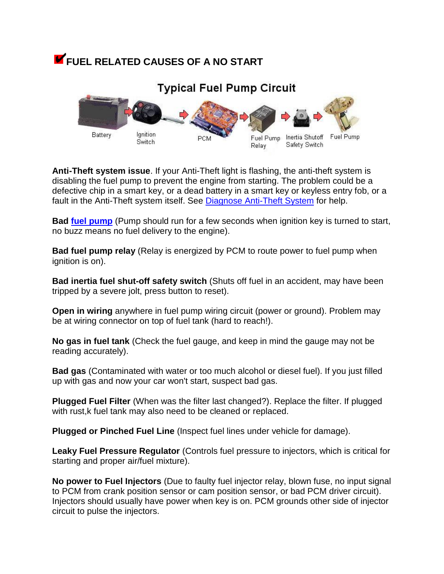# **FUEL RELATED CAUSES OF A NO START**



**Anti-Theft system issue**. If your Anti-Theft light is flashing, the anti-theft system is disabling the fuel pump to prevent the engine from starting. The problem could be a defective chip in a smart key, or a dead battery in a smart key or keyless entry fob, or a fault in the Anti-Theft system itself. See [Diagnose Anti-Theft System](http://www.aa1car.com/library/troubleshoot_antitheft_system.htm) for help.

**Bad [fuel pump](http://www.aa1car.com/library/fuel_pump_diagnose.htm)** (Pump should run for a few seconds when ignition key is turned to start, no buzz means no fuel delivery to the engine).

**Bad fuel pump relay** (Relay is energized by PCM to route power to fuel pump when ignition is on).

**Bad inertia fuel shut-off safety switch** (Shuts off fuel in an accident, may have been tripped by a severe jolt, press button to reset).

**Open in wiring** anywhere in fuel pump wiring circuit (power or ground). Problem may be at wiring connector on top of fuel tank (hard to reach!).

**No gas in fuel tank** (Check the fuel gauge, and keep in mind the gauge may not be reading accurately).

**Bad gas** (Contaminated with water or too much alcohol or diesel fuel). If you just filled up with gas and now your car won't start, suspect bad gas.

**Plugged Fuel Filter** (When was the filter last changed?). Replace the filter. If plugged with rust.k fuel tank may also need to be cleaned or replaced.

**Plugged or Pinched Fuel Line** (Inspect fuel lines under vehicle for damage).

**Leaky Fuel Pressure Regulator** (Controls fuel pressure to injectors, which is critical for starting and proper air/fuel mixture).

**No power to Fuel Injectors** (Due to faulty fuel injector relay, blown fuse, no input signal to PCM from crank position sensor or cam position sensor, or bad PCM driver circuit). Injectors should usually have power when key is on. PCM grounds other side of injector circuit to pulse the injectors.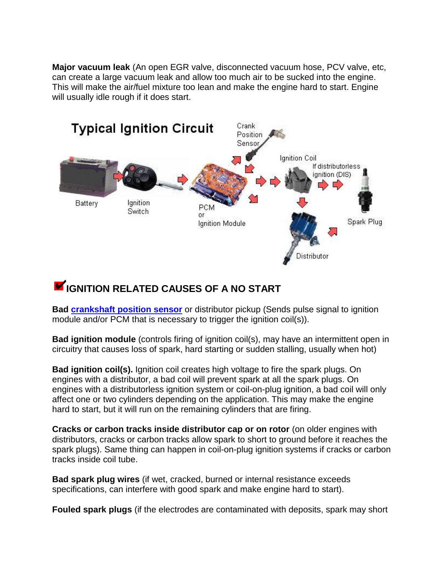**Major vacuum leak** (An open EGR valve, disconnected vacuum hose, PCV valve, etc, can create a large vacuum leak and allow too much air to be sucked into the engine. This will make the air/fuel mixture too lean and make the engine hard to start. Engine will usually idle rough if it does start.



# **IGNITION RELATED CAUSES OF A NO START**

**Bad [crankshaft position sensor](http://www.aa1car.com/library/crank_sensors.htm)** or distributor pickup (Sends pulse signal to ignition module and/or PCM that is necessary to trigger the ignition coil(s)).

**Bad ignition module** (controls firing of ignition coil(s), may have an intermittent open in circuitry that causes loss of spark, hard starting or sudden stalling, usually when hot)

**Bad ignition coil(s).** Ignition coil creates high voltage to fire the spark plugs. On engines with a distributor, a bad coil will prevent spark at all the spark plugs. On engines with a distributorless ignition system or coil-on-plug ignition, a bad coil will only affect one or two cylinders depending on the application. This may make the engine hard to start, but it will run on the remaining cylinders that are firing.

**Cracks or carbon tracks inside distributor cap or on rotor** (on older engines with distributors, cracks or carbon tracks allow spark to short to ground before it reaches the spark plugs). Same thing can happen in coil-on-plug ignition systems if cracks or carbon tracks inside coil tube.

**Bad spark plug wires** (if wet, cracked, burned or internal resistance exceeds specifications, can interfere with good spark and make engine hard to start).

**Fouled spark plugs** (if the electrodes are contaminated with deposits, spark may short